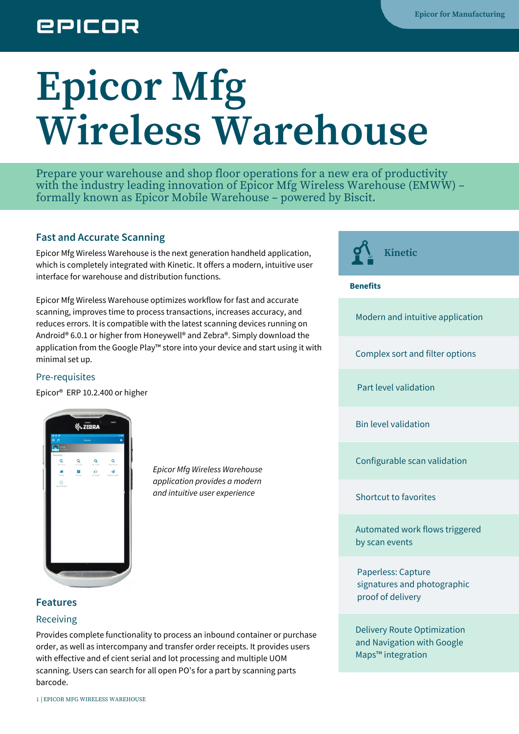# **EPICOR**

# **Epicor Mfg Wireless Warehouse**

Prepare your warehouse and shop floor operations for a new era of productivity with the industry leading innovation of Epicor Mfg Wireless Warehouse (EMWW) – formally known as Epicor Mobile Warehouse – powered by Biscit.

# **Fast and Accurate Scanning**

Epicor Mfg Wireless Warehouse is the next generation handheld application, which is completely integrated with Kinetic. It offers a modern, intuitive user interface for warehouse and distribution functions.

Epicor Mfg Wireless Warehouse optimizes workflow for fast and accurate scanning, improves time to process transactions, increases accuracy, and reduces errors. It is compatible with the latest scanning devices running on Android® 6.0.1 or higher from Honeywell® and Zebra®. Simply download the application from the Google Play™ store into your device and start using it with minimal set up.

## Pre-requisites

Epicor® ERP 10.2.400 or higher



*Epicor Mfg Wireless Warehouse application provides a modern and intuitive user experience*

**Kinetic solution** 

#### **Benefits**

Modern and intuitive application

Complex sort and filter options

Part level validation

Bin level validation

Configurable scan validation

Shortcut to favorites

Automated work flows triggered by scan events

Paperless: Capture signatures and photographic proof of delivery

Delivery Route Optimization and Navigation with Google Maps™ integration

# **Features**

### Receiving

Provides complete functionality to process an inbound container or purchase order, as well as intercompany and transfer order receipts. It provides users with effective and ef cient serial and lot processing and multiple UOM scanning. Users can search for all open PO's for a part by scanning parts barcode.

1 EPICOR MFG WIRELESS WAREHOUSE